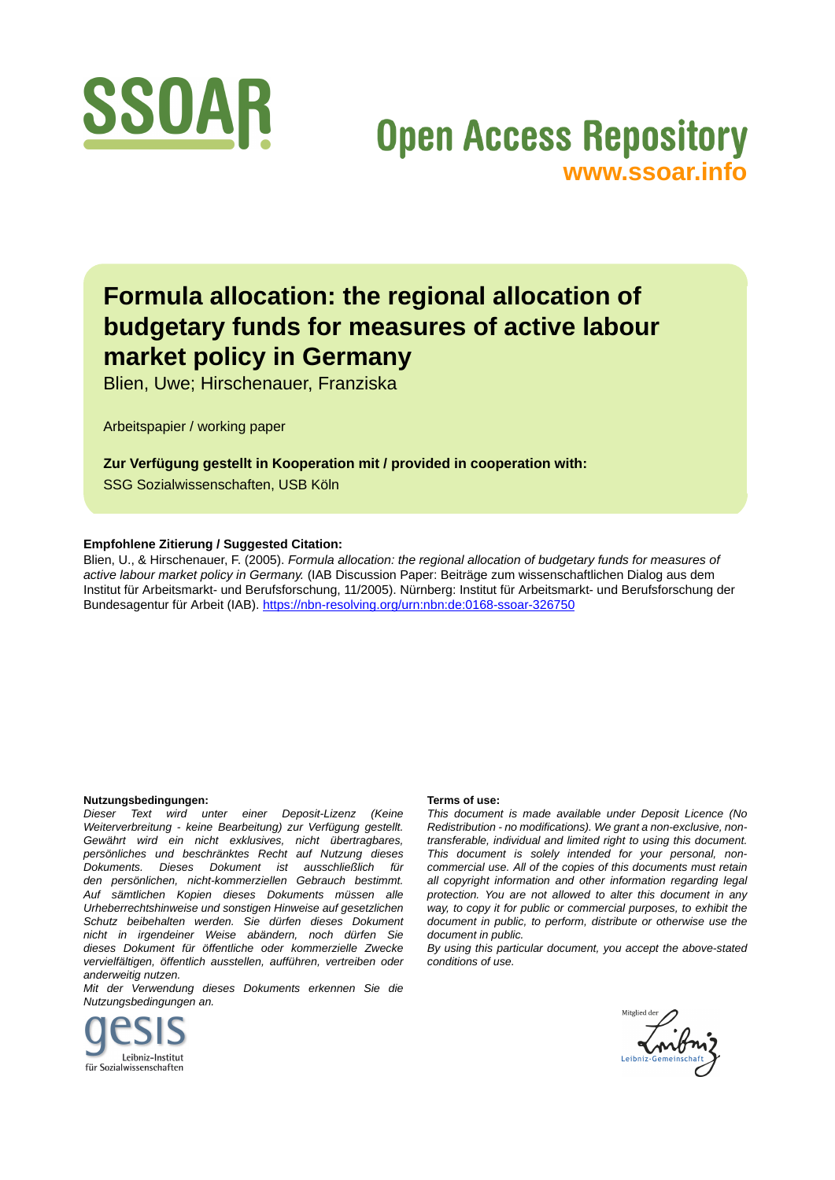

## **Open Access Repository [www.ssoar.info](http://www.ssoar.info)**

## **Formula allocation: the regional allocation of budgetary funds for measures of active labour market policy in Germany**

Blien, Uwe; Hirschenauer, Franziska

Arbeitspapier / working paper

#### **Zur Verfügung gestellt in Kooperation mit / provided in cooperation with:**

SSG Sozialwissenschaften, USB Köln

#### **Empfohlene Zitierung / Suggested Citation:**

Blien, U., & Hirschenauer, F. (2005). *Formula allocation: the regional allocation of budgetary funds for measures of active labour market policy in Germany.* (IAB Discussion Paper: Beiträge zum wissenschaftlichen Dialog aus dem Institut für Arbeitsmarkt- und Berufsforschung, 11/2005). Nürnberg: Institut für Arbeitsmarkt- und Berufsforschung der Bundesagentur für Arbeit (IAB).<https://nbn-resolving.org/urn:nbn:de:0168-ssoar-326750>

#### **Nutzungsbedingungen:**

*Dieser Text wird unter einer Deposit-Lizenz (Keine Weiterverbreitung - keine Bearbeitung) zur Verfügung gestellt. Gewährt wird ein nicht exklusives, nicht übertragbares, persönliches und beschränktes Recht auf Nutzung dieses Dokuments. Dieses Dokument ist ausschließlich für den persönlichen, nicht-kommerziellen Gebrauch bestimmt. Auf sämtlichen Kopien dieses Dokuments müssen alle Urheberrechtshinweise und sonstigen Hinweise auf gesetzlichen Schutz beibehalten werden. Sie dürfen dieses Dokument nicht in irgendeiner Weise abändern, noch dürfen Sie dieses Dokument für öffentliche oder kommerzielle Zwecke vervielfältigen, öffentlich ausstellen, aufführen, vertreiben oder anderweitig nutzen.*

*Mit der Verwendung dieses Dokuments erkennen Sie die Nutzungsbedingungen an.*



#### **Terms of use:**

*This document is made available under Deposit Licence (No Redistribution - no modifications). We grant a non-exclusive, nontransferable, individual and limited right to using this document. This document is solely intended for your personal, noncommercial use. All of the copies of this documents must retain all copyright information and other information regarding legal protection. You are not allowed to alter this document in any way, to copy it for public or commercial purposes, to exhibit the document in public, to perform, distribute or otherwise use the document in public.*

*By using this particular document, you accept the above-stated conditions of use.*

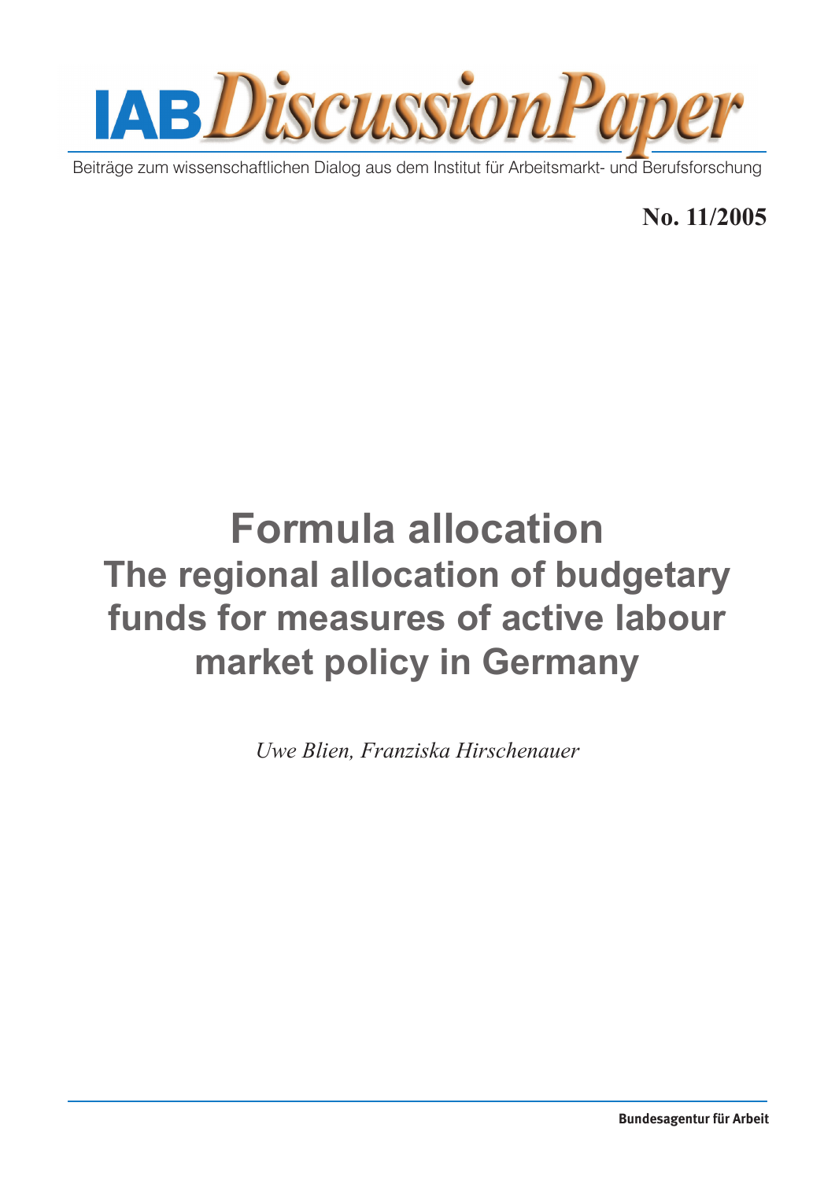

Beiträge zum wissenschaftlichen Dialog aus dem Institut für Arbeitsmarkt- und Berufsforschung

**No. 11/2005**

# **Formula allocation The regional allocation of budgetary funds for measures of active labour market policy in Germany**

*Uwe Blien, Franziska Hirschenauer*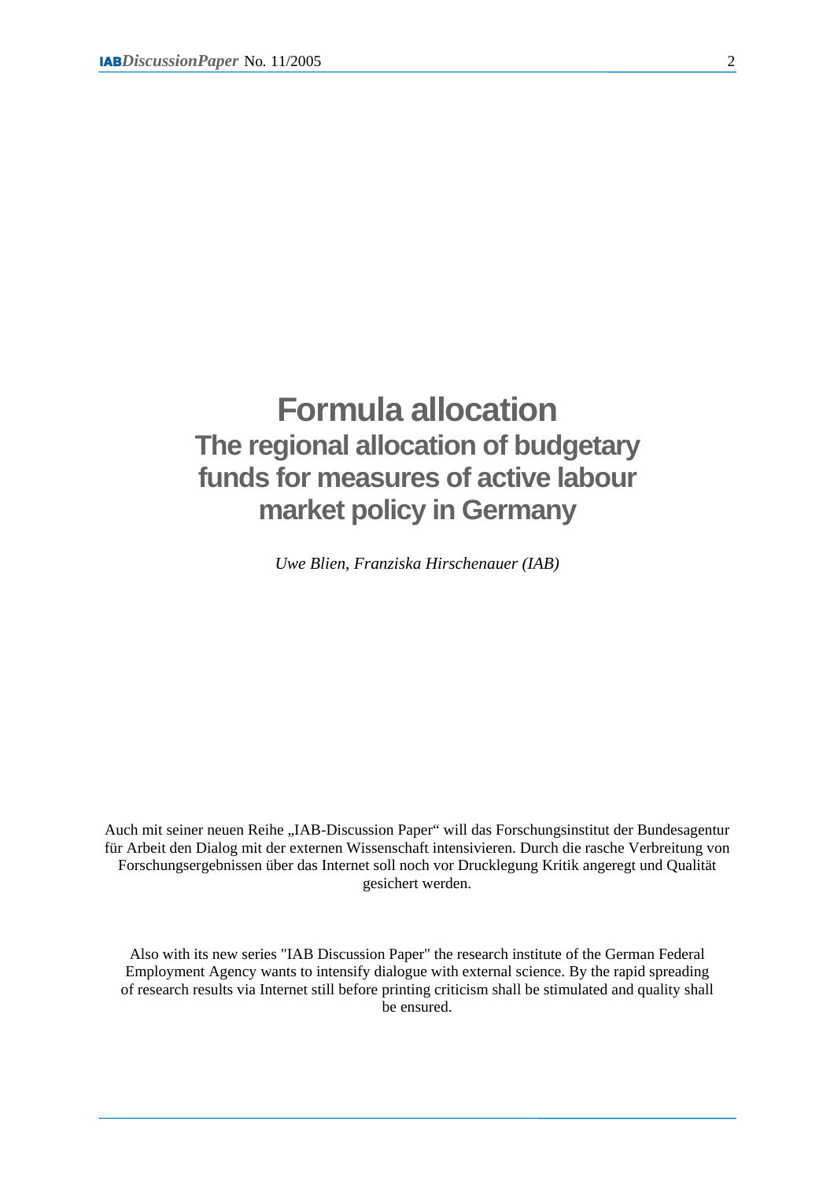## **Formula allocation The regional allocation of budgetary funds for measures of active labour market policy in Germany**

*Uwe Blien, Franziska Hirschenauer (IAB)*

Auch mit seiner neuen Reihe "IAB-Discussion Paper" will das Forschungsinstitut der Bundesagentur für Arbeit den Dialog mit der externen Wissenschaft intensivieren. Durch die rasche Verbreitung von Forschungsergebnissen über das Internet soll noch vor Drucklegung Kritik angeregt und Qualität gesichert werden.

Also with its new series "IAB Discussion Paper" the research institute of the German Federal Employment Agency wants to intensify dialogue with external science. By the rapid spreading of research results via Internet still before printing criticism shall be stimulated and quality shall be ensured.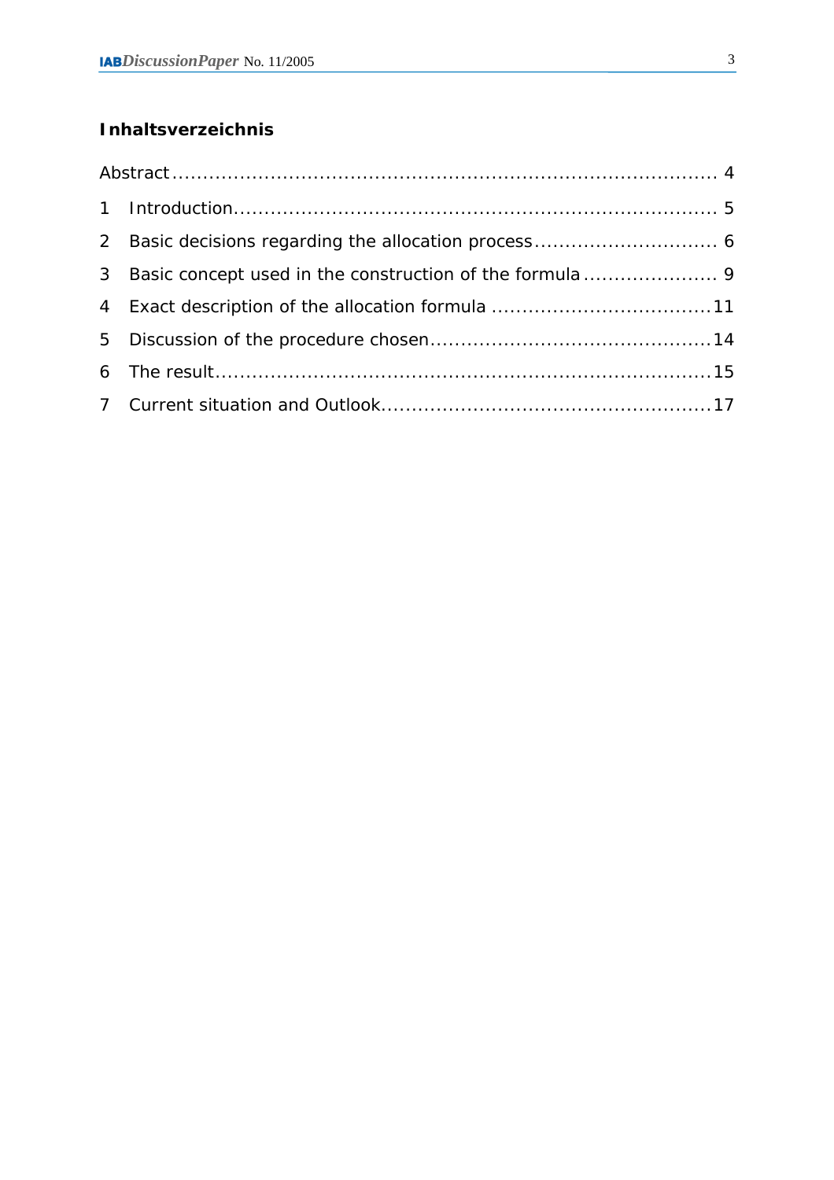### **Inhaltsverzeichnis**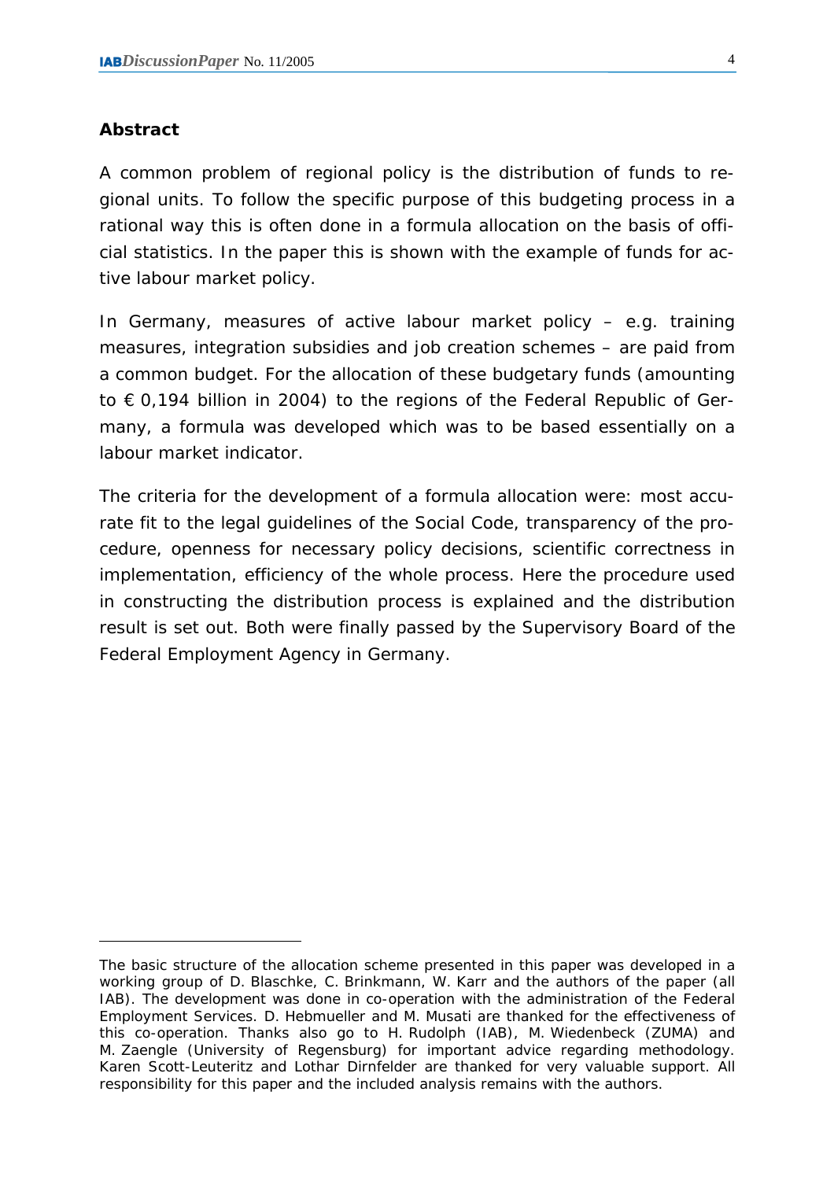#### <span id="page-4-0"></span>**Abstract**

 $\overline{a}$ 

A common problem of regional policy is the distribution of funds to regional units. To follow the specific purpose of this budgeting process in a rational way this is often done in a formula allocation on the basis of official statistics. In the paper this is shown with the example of funds for active labour market policy.

In Germany, measures of active labour market policy – e.g. training measures, integration subsidies and job creation schemes – are paid from a common budget. For the allocation of these budgetary funds (amounting to € 0,194 billion in 2004) to the regions of the Federal Republic of Germany, a formula was developed which was to be based essentially on a labour market indicator.

The criteria for the development of a formula allocation were: most accurate fit to the legal guidelines of the Social Code, transparency of the procedure, openness for necessary policy decisions, scientific correctness in implementation, efficiency of the whole process. Here the procedure used in constructing the distribution process is explained and the distribution result is set out. Both were finally passed by the Supervisory Board of the Federal Employment Agency in Germany.

The basic structure of the allocation scheme presented in this paper was developed in a working group of D. Blaschke, C. Brinkmann, W. Karr and the authors of the paper (all IAB). The development was done in co-operation with the administration of the Federal Employment Services. D. Hebmueller and M. Musati are thanked for the effectiveness of this co-operation. Thanks also go to H. Rudolph (IAB), M. Wiedenbeck (ZUMA) and M. Zaengle (University of Regensburg) for important advice regarding methodology. Karen Scott-Leuteritz and Lothar Dirnfelder are thanked for very valuable support. All responsibility for this paper and the included analysis remains with the authors.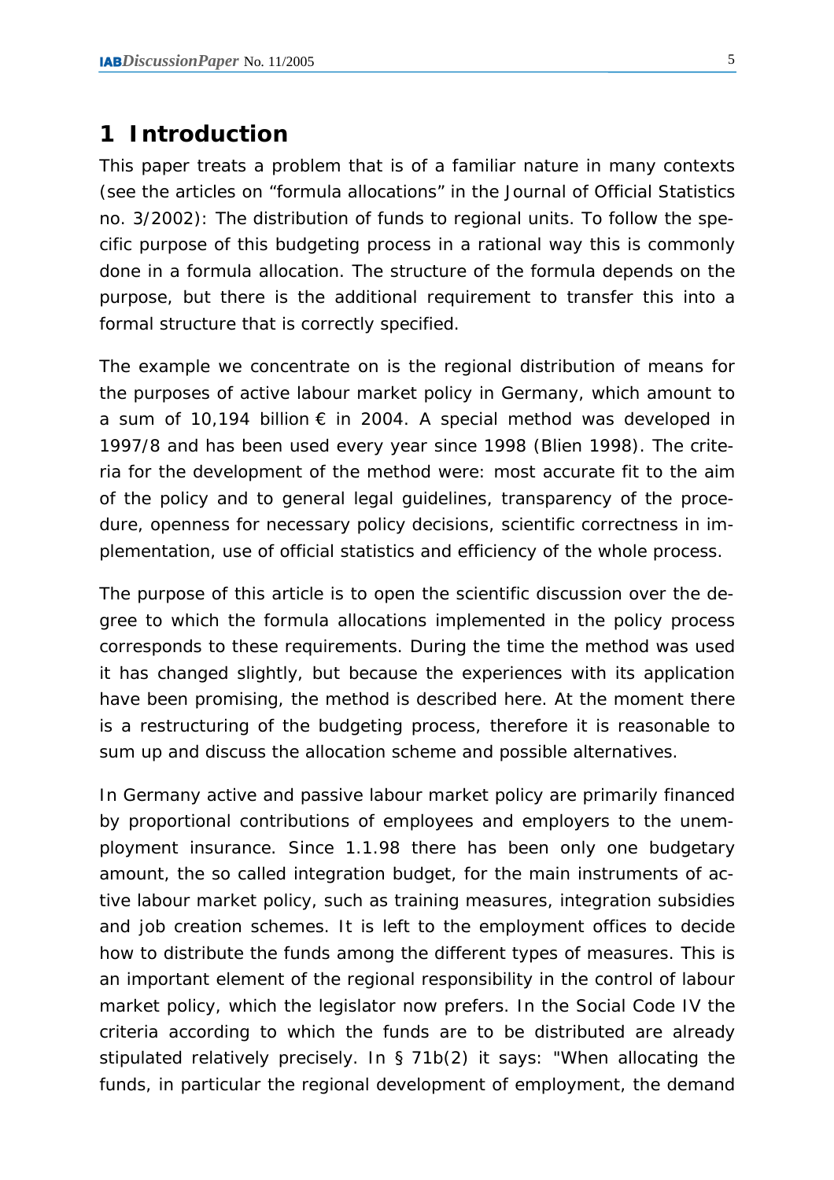### <span id="page-5-0"></span>**1 Introduction**

This paper treats a problem that is of a familiar nature in many contexts (see the articles on "formula allocations" in the Journal of Official Statistics no. 3/2002): The distribution of funds to regional units. To follow the specific purpose of this budgeting process in a rational way this is commonly done in a formula allocation. The structure of the formula depends on the purpose, but there is the additional requirement to transfer this into a formal structure that is correctly specified.

The example we concentrate on is the regional distribution of means for the purposes of active labour market policy in Germany, which amount to a sum of 10,194 billion  $\epsilon$  in 2004. A special method was developed in 1997/8 and has been used every year since 1998 (Blien 1998). The criteria for the development of the method were: most accurate fit to the aim of the policy and to general legal guidelines, transparency of the procedure, openness for necessary policy decisions, scientific correctness in implementation, use of official statistics and efficiency of the whole process.

The purpose of this article is to open the scientific discussion over the degree to which the formula allocations implemented in the policy process corresponds to these requirements. During the time the method was used it has changed slightly, but because the experiences with its application have been promising, the method is described here. At the moment there is a restructuring of the budgeting process, therefore it is reasonable to sum up and discuss the allocation scheme and possible alternatives.

In Germany active and passive labour market policy are primarily financed by proportional contributions of employees and employers to the unemployment insurance. Since 1.1.98 there has been only one budgetary amount, the so called integration budget, for the main instruments of active labour market policy, such as training measures, integration subsidies and job creation schemes. It is left to the employment offices to decide how to distribute the funds among the different types of measures. This is an important element of the regional responsibility in the control of labour market policy, which the legislator now prefers. In the Social Code IV the criteria according to which the funds are to be distributed are already stipulated relatively precisely. In § 71b(2) it says: *"When allocating the*  funds, in particular the regional development of employment, the demand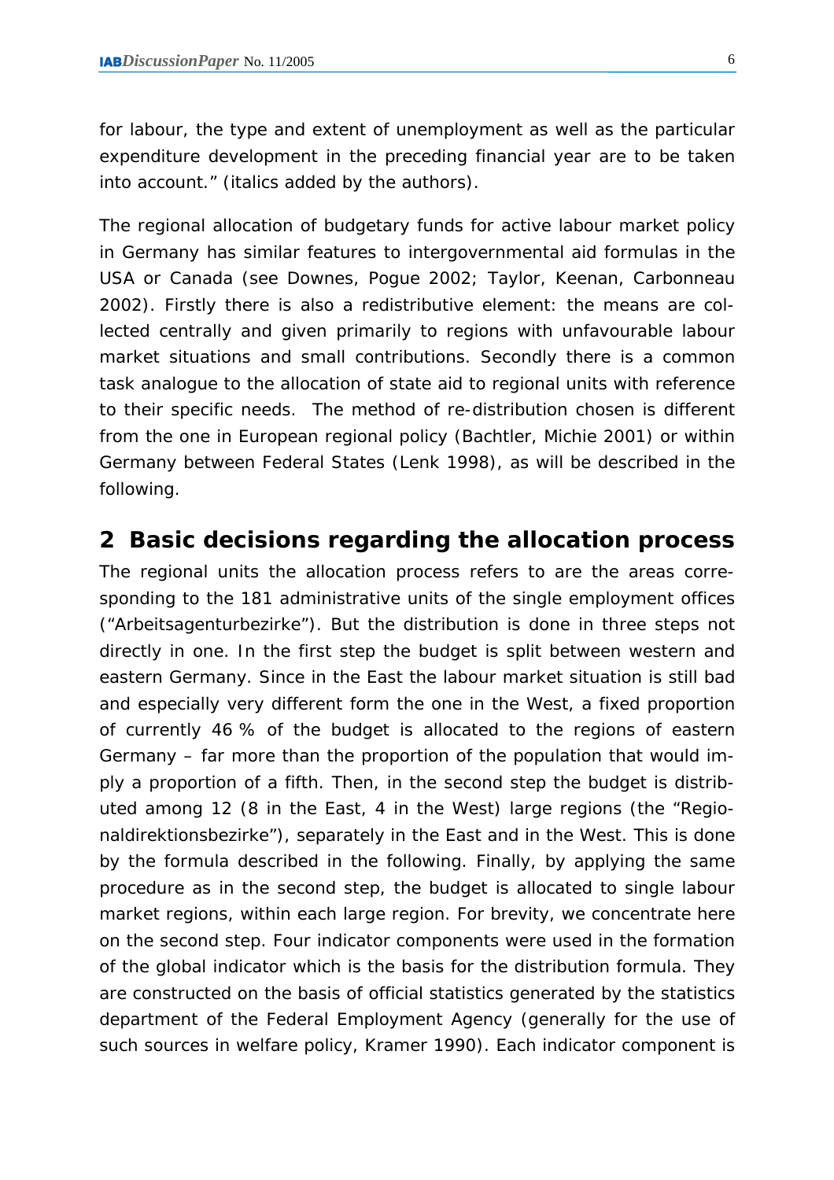<span id="page-6-0"></span>*for labour, the type and extent of unemployment* as well as the particular expenditure development in the preceding financial year *are to be taken into account.*" (italics added by the authors).

The regional allocation of budgetary funds for active labour market policy in Germany has similar features to intergovernmental aid formulas in the USA or Canada (see Downes, Pogue 2002; Taylor, Keenan, Carbonneau 2002). Firstly there is also a redistributive element: the means are collected centrally and given primarily to regions with unfavourable labour market situations and small contributions. Secondly there is a common task analogue to the allocation of state aid to regional units with reference to their specific needs. The method of re-distribution chosen is different from the one in European regional policy (Bachtler, Michie 2001) or within Germany between Federal States (Lenk 1998), as will be described in the following.

## **2 Basic decisions regarding the allocation process**

The regional units the allocation process refers to are the areas corresponding to the 181 administrative units of the single employment offices ("Arbeitsagenturbezirke"). But the distribution is done in three steps not directly in one. In the first step the budget is split between western and eastern Germany. Since in the East the labour market situation is still bad and especially very different form the one in the West, a fixed proportion of currently 46 % of the budget is allocated to the regions of eastern Germany – far more than the proportion of the population that would imply a proportion of a fifth. Then, in the second step the budget is distributed among 12 (8 in the East, 4 in the West) large regions (the "Regionaldirektionsbezirke"), separately in the East and in the West. This is done by the formula described in the following. Finally, by applying the same procedure as in the second step, the budget is allocated to single labour market regions, within each large region. For brevity, we concentrate here on the second step. *Four indicator components* were used in the formation of the *global indicator* which is the basis for the distribution formula. They are constructed on the basis of official statistics generated by the statistics department of the Federal Employment Agency (generally for the use of such sources in welfare policy, Kramer 1990). Each indicator component is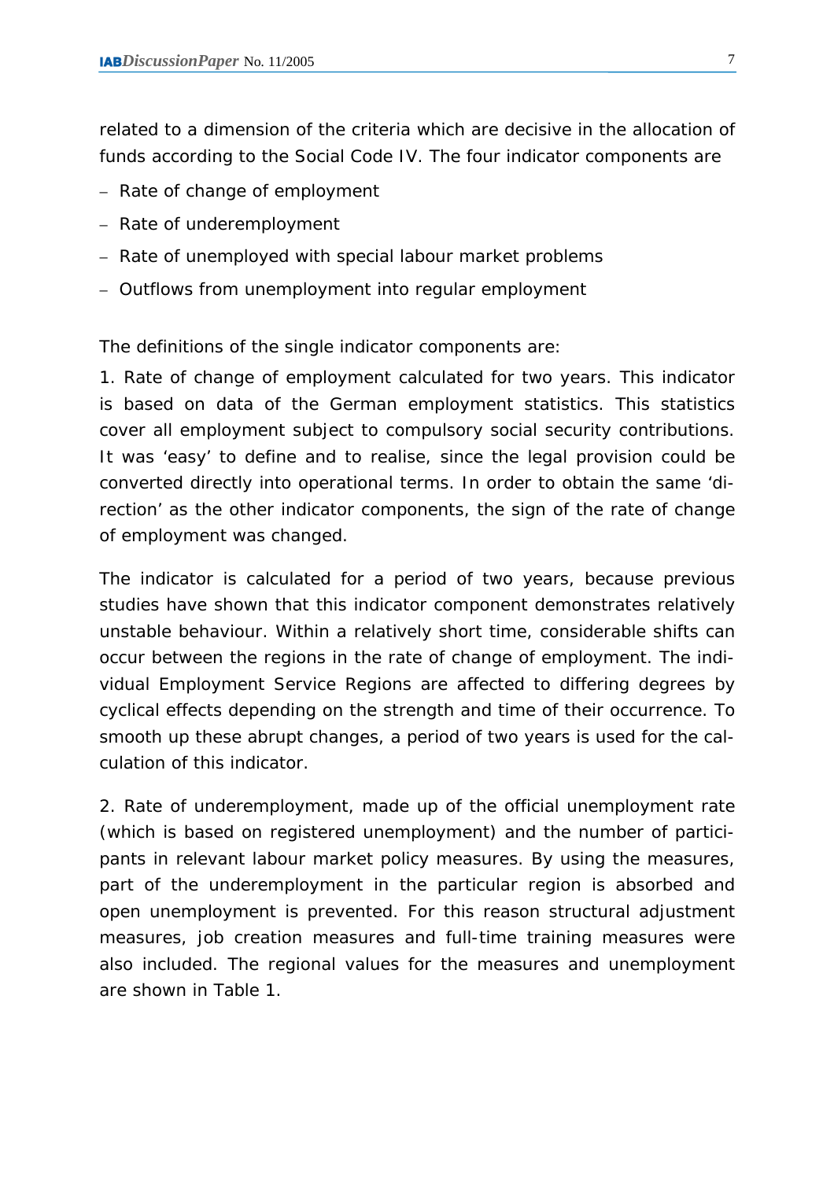related to a dimension of the criteria which are decisive in the allocation of funds according to the Social Code IV. The four indicator components are

- − Rate of change of employment
- − Rate of underemployment
- − Rate of unemployed with special labour market problems
- − Outflows from unemployment into regular employment

The definitions of the single indicator components are:

1. *Rate of change of employment* calculated for two years. This indicator is based on data of the German employment statistics. This statistics cover all employment subject to compulsory social security contributions. It was 'easy' to define and to realise, since the legal provision could be converted directly into operational terms. In order to obtain the same 'direction' as the other indicator components, the sign of the rate of change of employment was changed.

The indicator is calculated for a period of two years, because previous studies have shown that this indicator component demonstrates relatively unstable behaviour. Within a relatively short time, considerable shifts can occur between the regions in the rate of change of employment. The individual Employment Service Regions are affected to differing degrees by cyclical effects depending on the strength and time of their occurrence. To smooth up these abrupt changes, a period of two years is used for the calculation of this indicator.

2. *Rate of underemployment,* made up of the official unemployment rate (which is based on registered unemployment) and the number of participants in relevant labour market policy measures. By using the measures, part of the underemployment in the particular region is absorbed and open unemployment is prevented. For this reason structural adjustment measures, job creation measures and full-time training measures were also included. The regional values for the measures and unemployment are shown in Table 1.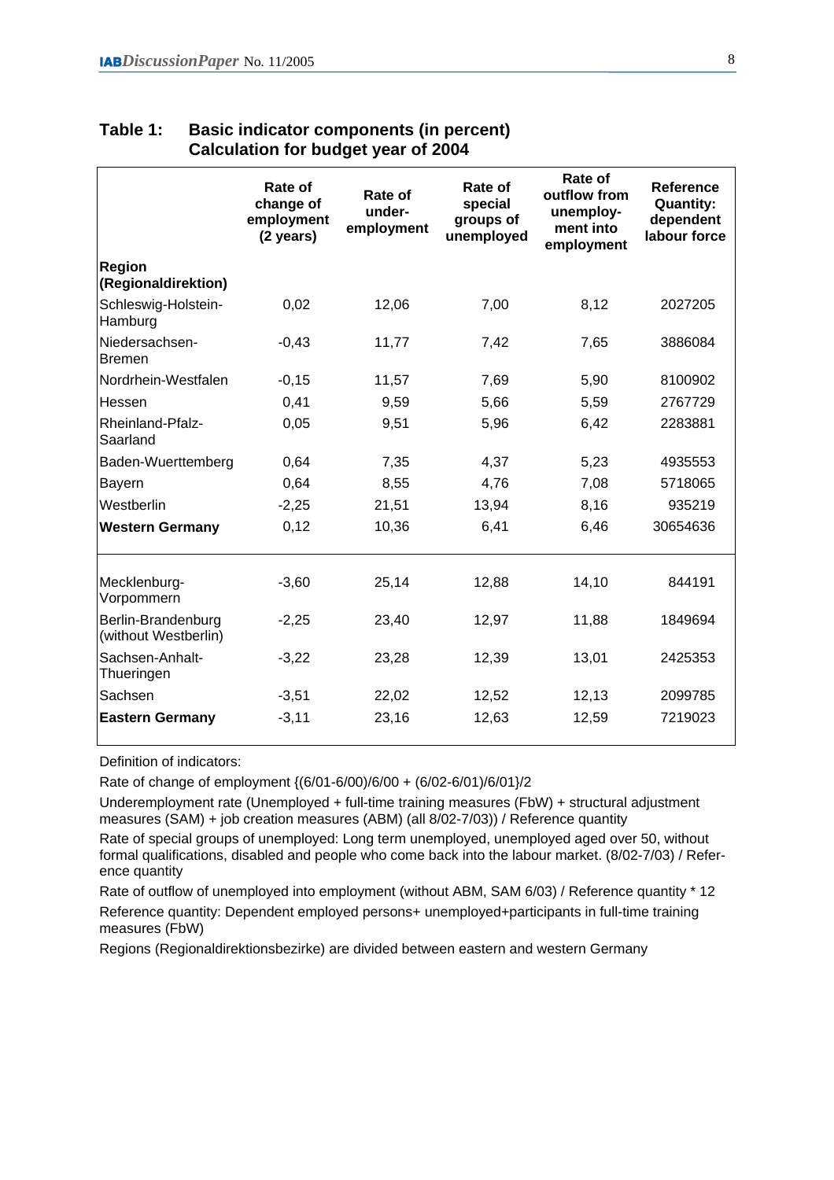|                                            | Rate of<br>change of<br>employment<br>(2 years) | Rate of<br>under-<br>employment | Rate of<br>special<br>groups of<br>unemployed | Rate of<br>outflow from<br>unemploy-<br>ment into<br>employment | <b>Reference</b><br><b>Quantity:</b><br>dependent<br>labour force |
|--------------------------------------------|-------------------------------------------------|---------------------------------|-----------------------------------------------|-----------------------------------------------------------------|-------------------------------------------------------------------|
| <b>Region</b><br>(Regionaldirektion)       |                                                 |                                 |                                               |                                                                 |                                                                   |
| Schleswig-Holstein-<br>Hamburg             | 0,02                                            | 12,06                           | 7,00                                          | 8,12                                                            | 2027205                                                           |
| Niedersachsen-<br><b>Bremen</b>            | $-0,43$                                         | 11,77                           | 7,42                                          | 7,65                                                            | 3886084                                                           |
| Nordrhein-Westfalen                        | $-0,15$                                         | 11,57                           | 7,69                                          | 5,90                                                            | 8100902                                                           |
| Hessen                                     | 0,41                                            | 9,59                            | 5,66                                          | 5,59                                                            | 2767729                                                           |
| Rheinland-Pfalz-<br>Saarland               | 0,05                                            | 9,51                            | 5,96                                          | 6,42                                                            | 2283881                                                           |
| Baden-Wuerttemberg                         | 0,64                                            | 7,35                            | 4,37                                          | 5,23                                                            | 4935553                                                           |
| <b>Bayern</b>                              | 0,64                                            | 8,55                            | 4,76                                          | 7,08                                                            | 5718065                                                           |
| Westberlin                                 | $-2,25$                                         | 21,51                           | 13,94                                         | 8,16                                                            | 935219                                                            |
| <b>Western Germany</b>                     | 0,12                                            | 10,36                           | 6,41                                          | 6,46                                                            | 30654636                                                          |
| Mecklenburg-<br>Vorpommern                 | $-3,60$                                         | 25,14                           | 12,88                                         | 14,10                                                           | 844191                                                            |
| Berlin-Brandenburg<br>(without Westberlin) | $-2,25$                                         | 23,40                           | 12,97                                         | 11,88                                                           | 1849694                                                           |
| Sachsen-Anhalt-<br>Thueringen              | $-3,22$                                         | 23,28                           | 12,39                                         | 13,01                                                           | 2425353                                                           |
| Sachsen                                    | $-3,51$                                         | 22,02                           | 12,52                                         | 12,13                                                           | 2099785                                                           |
| <b>Eastern Germany</b>                     | $-3,11$                                         | 23,16                           | 12,63                                         | 12,59                                                           | 7219023                                                           |

#### **Table 1: Basic indicator components (in percent) Calculation for budget year of 2004**

Definition of indicators:

Rate of change of employment {(6/01-6/00)/6/00 + (6/02-6/01)/6/01}/2

Underemployment rate (Unemployed + full-time training measures (FbW) + structural adjustment measures (SAM) + job creation measures (ABM) (all 8/02-7/03)) / Reference quantity

Rate of special groups of unemployed: Long term unemployed, unemployed aged over 50, without formal qualifications, disabled and people who come back into the labour market. (8/02-7/03) / Reference quantity

Rate of outflow of unemployed into employment (without ABM, SAM 6/03) / Reference quantity \* 12 Reference quantity: Dependent employed persons+ unemployed+participants in full-time training measures (FbW)

Regions (Regionaldirektionsbezirke) are divided between eastern and western Germany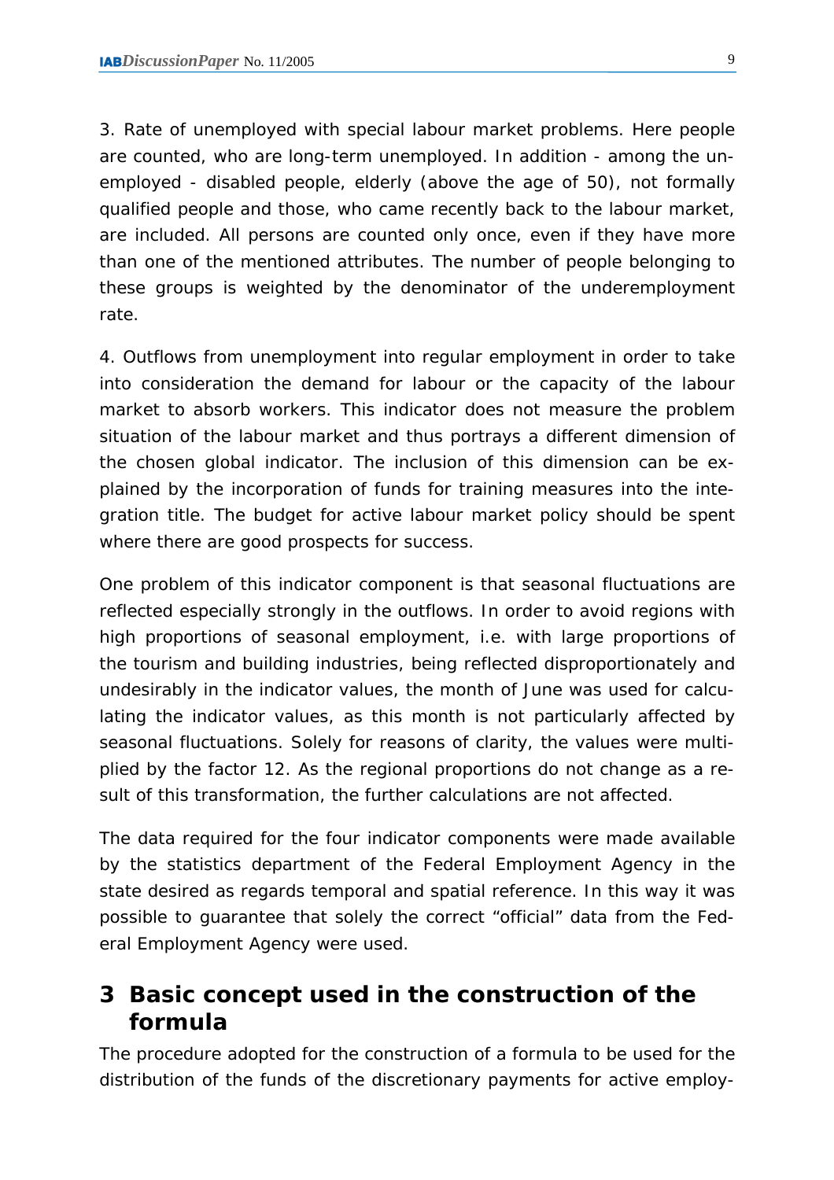<span id="page-9-0"></span>*3. Rate of unemployed with special labour market problems.* Here people are counted, who are long-term unemployed. In addition - among the unemployed - disabled people, elderly (above the age of 50), not formally qualified people and those, who came recently back to the labour market, are included. All persons are counted only once, even if they have more than one of the mentioned attributes. The number of people belonging to these groups is weighted by the denominator of the underemployment rate.

*4. Outflows from unemployment into regular employment* in order to take into consideration the demand for labour or the capacity of the labour market to absorb workers. This indicator does not measure the problem situation of the labour market and thus portrays a different dimension of the chosen global indicator. The inclusion of this dimension can be explained by the incorporation of funds for training measures into the integration title. The budget for active labour market policy should be spent where there are good prospects for success.

One problem of this indicator component is that seasonal fluctuations are reflected especially strongly in the outflows. In order to avoid regions with high proportions of seasonal employment, i.e. with large proportions of the tourism and building industries, being reflected disproportionately and undesirably in the indicator values, the month of June was used for calculating the indicator values, as this month is not particularly affected by seasonal fluctuations. Solely for reasons of clarity, the values were multiplied by the factor 12. As the regional proportions do not change as a result of this transformation, the further calculations are not affected.

The data required for the four indicator components were made available by the statistics department of the Federal Employment Agency in the state desired as regards temporal and spatial reference. In this way it was possible to guarantee that solely the correct "official" data from the Federal Employment Agency were used.

## **3 Basic concept used in the construction of the formula**

The procedure adopted for the construction of a formula to be used for the distribution of the funds of the discretionary payments for active employ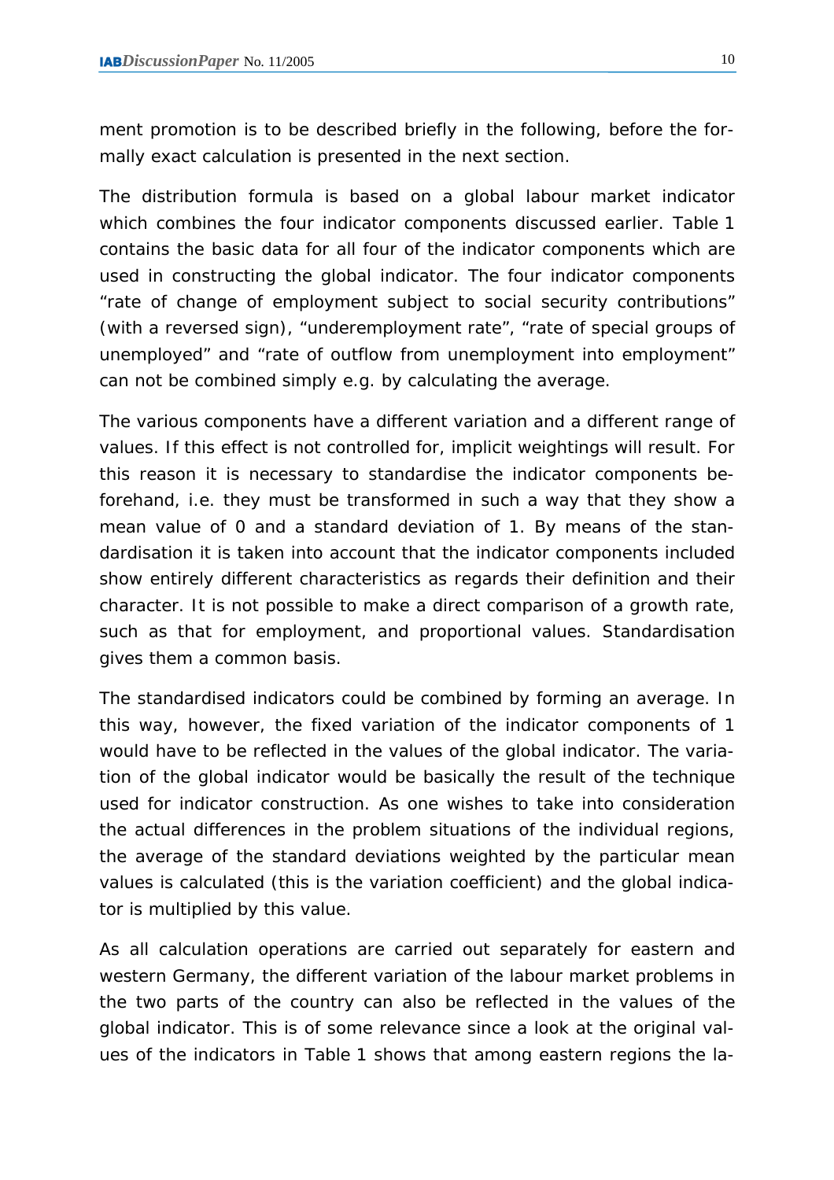ment promotion is to be described briefly in the following, before the formally exact calculation is presented in the next section.

The *distribution formula is based on a global labour market indicator*  which combines the four indicator components discussed earlier. Table 1 contains the basic data for all four of the indicator components which are used in constructing the global indicator. The four indicator components "rate of change of employment subject to social security contributions" (with a reversed sign), "underemployment rate", "rate of special groups of unemployed" and "rate of outflow from unemployment into employment" can not be combined simply e.g. by calculating the average.

The various components have a different variation and a different range of values. If this effect is not controlled for, implicit weightings will result. For this reason it is necessary to standardise the indicator components beforehand, i.e. they must be transformed in such a way that they show a mean value of 0 and a standard deviation of 1. By means of the standardisation it is taken into account that the indicator components included show entirely different characteristics as regards their definition and their character. It is not possible to make a direct comparison of a growth rate, such as that for employment, and proportional values. Standardisation gives them a common basis.

The standardised indicators could be combined by forming an average. In this way, however, the fixed variation of the indicator components of 1 would have to be reflected in the values of the global indicator. The variation of the global indicator would be basically the result of the technique used for indicator construction. As one wishes to take into consideration the actual differences in the problem situations of the individual regions, the average of the standard deviations weighted by the particular mean values is calculated (this is the variation coefficient) and the global indicator is multiplied by this value.

As all calculation operations are carried out separately for eastern and western Germany, the different variation of the labour market problems in the two parts of the country can also be reflected in the values of the global indicator. This is of some relevance since a look at the original values of the indicators in Table 1 shows that among eastern regions the la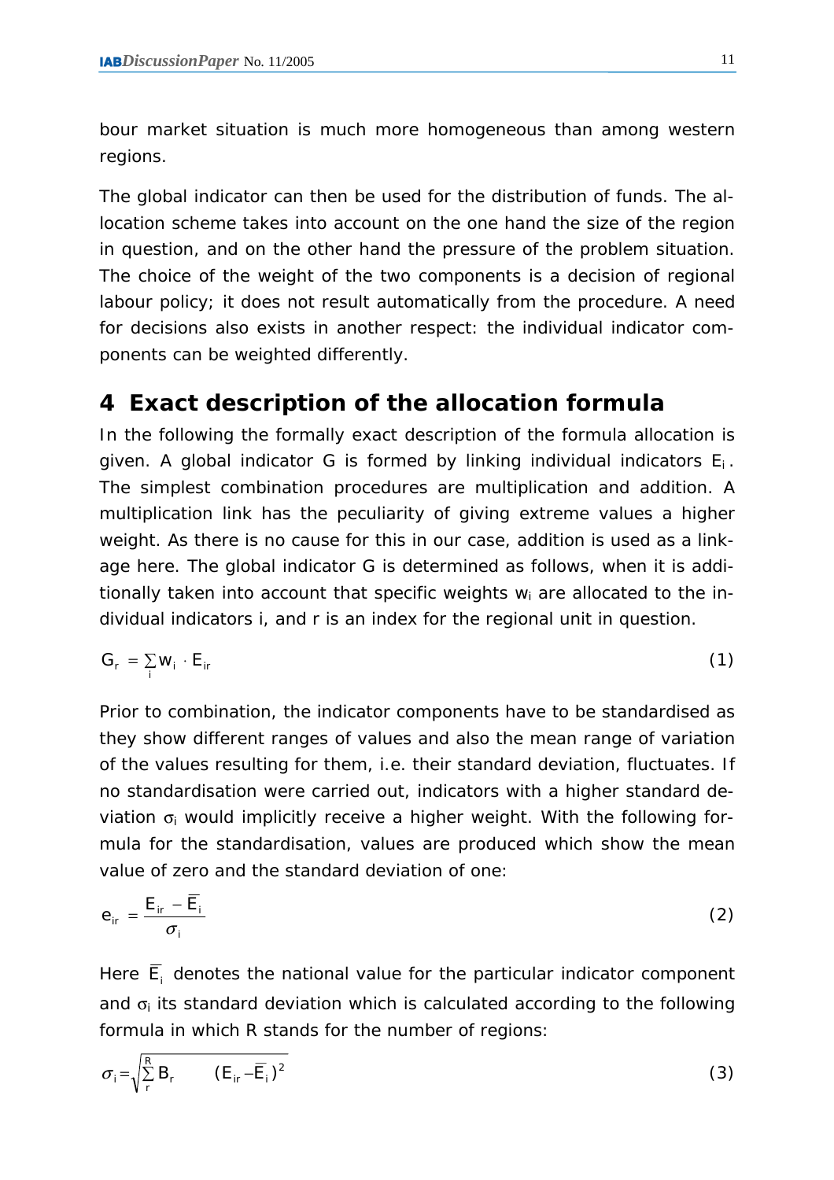<span id="page-11-0"></span>bour market situation is much more homogeneous than among western regions.

The global indicator can then be used for the distribution of funds. The allocation scheme takes into account on the one hand the size of the region in question, and on the other hand the pressure of the problem situation. The choice of the weight of the two components is a decision of regional labour policy; it does not result automatically from the procedure. A need for decisions also exists in another respect: the individual indicator components can be weighted differently.

## **4 Exact description of the allocation formula**

In the following the formally exact description of the formula allocation is given. A global indicator G is formed by linking individual indicators  $E_i$ . The simplest combination procedures are multiplication and addition. A multiplication link has the peculiarity of giving extreme values a higher weight. As there is no cause for this in our case, addition is used as a linkage here. The global indicator G is determined as follows, when it is additionally taken into account that specific weights  $w_i$  are allocated to the individual indicators i, and r is an index for the regional unit in question.

$$
G_r = \sum_i w_i \cdot E_{ir}
$$
 (1)

Prior to combination, the indicator components have to be standardised as they show different ranges of values and also the mean range of variation of the values resulting for them, i.e. their standard deviation, fluctuates. If no standardisation were carried out, indicators with a higher standard deviation  $\sigma_i$  would implicitly receive a higher weight. With the following formula for the standardisation, values are produced which show the mean value of zero and the standard deviation of one:

$$
e_{ir} = \frac{E_{ir} - \overline{E}_i}{\sigma_i} \tag{2}
$$

Here  $\overline{E}_i$  denotes the national value for the particular indicator component and  $\sigma_i$  its standard deviation which is calculated according to the following formula in which R stands for the number of regions:

$$
\sigma_i = \sqrt{\sum_r^R B_r} \qquad (\overline{E}_{ir} - \overline{E}_i)^2
$$
 (3)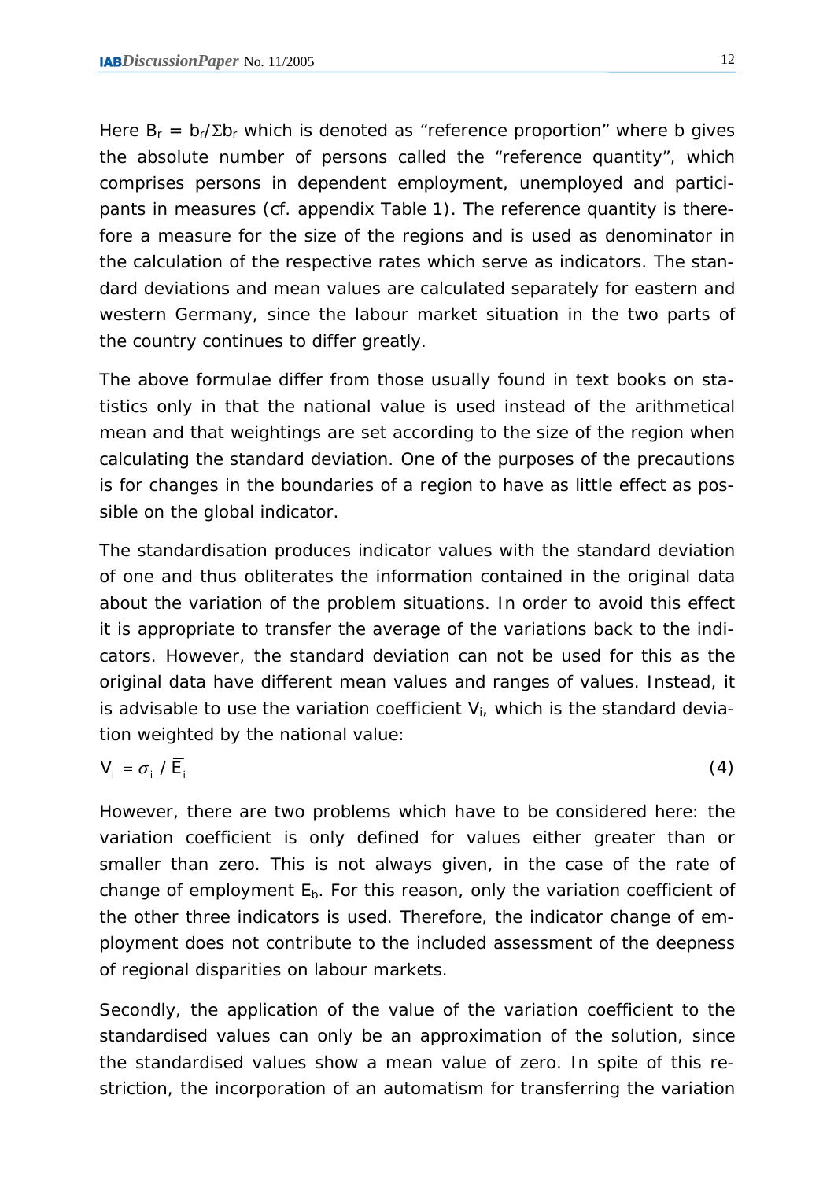Here Br = br/Σbr which is denoted as "*reference proportion*" where b gives the absolute number of persons called the "*reference quantity"*, which comprises persons in dependent employment, unemployed and participants in measures (cf. appendix Table 1). The reference quantity is therefore a measure for the size of the regions and is used as denominator in the calculation of the respective rates which serve as indicators. The standard deviations and mean values are calculated separately for eastern and western Germany, since the labour market situation in the two parts of the country continues to differ greatly.

The above formulae differ from those usually found in text books on statistics only in that the national value is used instead of the arithmetical mean and that weightings are set according to the size of the region when calculating the standard deviation. One of the purposes of the precautions is for changes in the boundaries of a region to have as little effect as possible on the global indicator.

The standardisation produces indicator values with the standard deviation of one and thus obliterates the information contained in the original data about the variation of the problem situations. In order to avoid this effect it is appropriate to transfer the average of the variations back to the indicators. However, the standard deviation can not be used for this as the original data have different mean values and ranges of values. Instead, it is advisable to use the variation coefficient  $V_i$ , which is the standard deviation weighted by the national value:

$$
V_i = \sigma_i / \overline{E}_i \tag{4}
$$

However, there are two problems which have to be considered here: the variation coefficient is only defined for values either greater than or smaller than zero. This is not always given, in the case of the rate of change of employment  $E_b$ . For this reason, only the variation coefficient of the other three indicators is used. Therefore, the indicator change of employment does not contribute to the included assessment of the deepness of regional disparities on labour markets.

Secondly, the application of the value of the variation coefficient to the standardised values can only be an approximation of the solution, since the standardised values show a mean value of zero. In spite of this restriction, the incorporation of an automatism for transferring the variation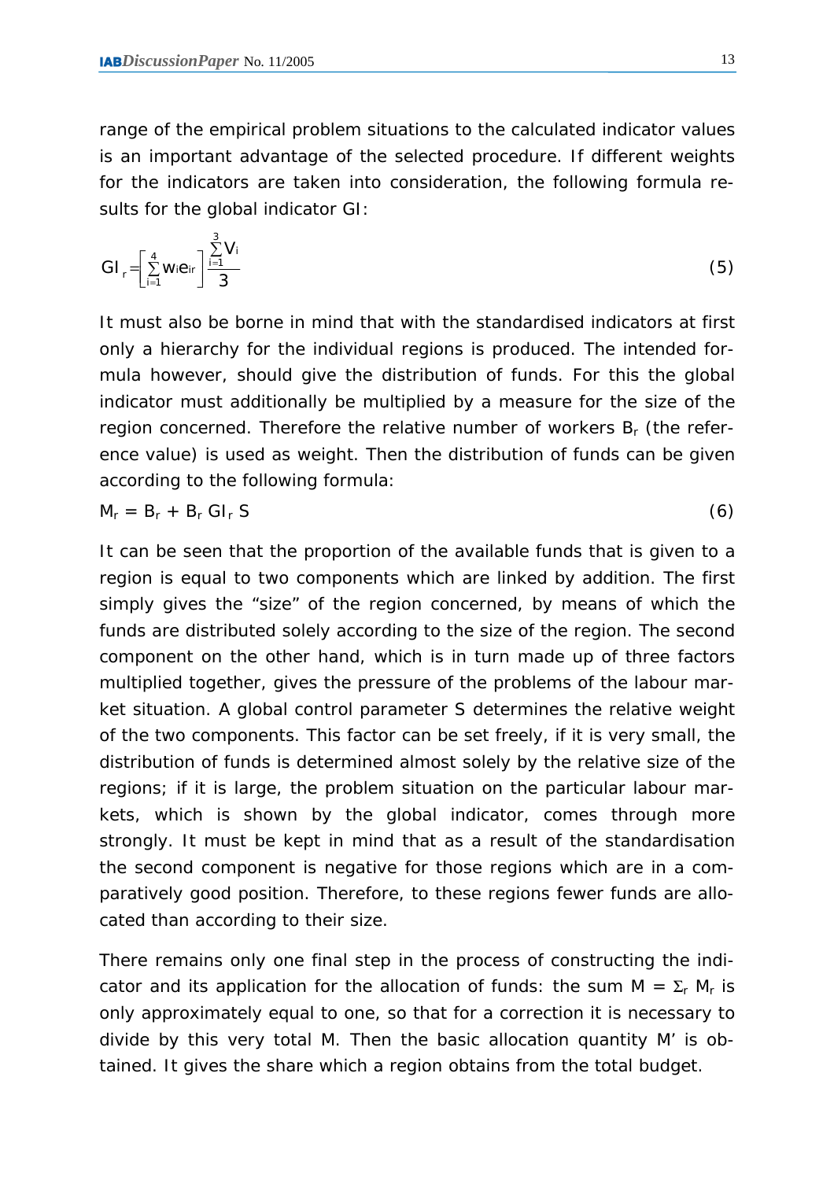range of the empirical problem situations to the calculated indicator values is an important advantage of the selected procedure. If different weights for the indicators are taken into consideration, the following formula results for the global indicator GI:

$$
GI_{r} = \left[\sum_{i=1}^{4} W_{i} e_{i r}\right]^{\frac{3}{1-1} V_{i}} \tag{5}
$$

It must also be borne in mind that with the standardised indicators at first only a hierarchy for the individual regions is produced. The intended formula however, should give *the distribution of funds.* For this the global indicator must additionally be multiplied by a *measure for the size of the region concerned.* Therefore the relative number of workers B<sub>r</sub> (the reference value) is used as weight. Then the distribution of funds can be given according to the following formula:

$$
M_r = B_r + B_r G I_r S \tag{6}
$$

It can be seen that the proportion of the available funds that is given to a region is equal to two components which are linked by addition. The first simply gives the *"size" of the region concerned,* by means of which the funds are distributed solely according to the size of the region. The second component on the other hand, which is in turn made up of three factors multiplied together, gives the *pressure of the problems of the labour market situation*. A global *control parameter S* determines the relative weight of the two components. This factor can be set freely, if it is very small, the distribution of funds is determined almost solely by the relative size of the regions; if it is large, the problem situation on the particular labour markets, which is shown by the global indicator, comes through more strongly. It must be kept in mind that as a result of the standardisation the second component is negative for those regions which are in a comparatively good position. Therefore, to these regions fewer funds are allocated than according to their size.

There remains only one final step in the process of constructing the indicator and its application for the allocation of funds: the sum  $M = \Sigma_r M_r$  is only approximately equal to one, so that for a correction it is necessary to divide by this very total M. Then the *basic allocation quantity* M' is obtained. It gives the share which a region obtains from the total budget.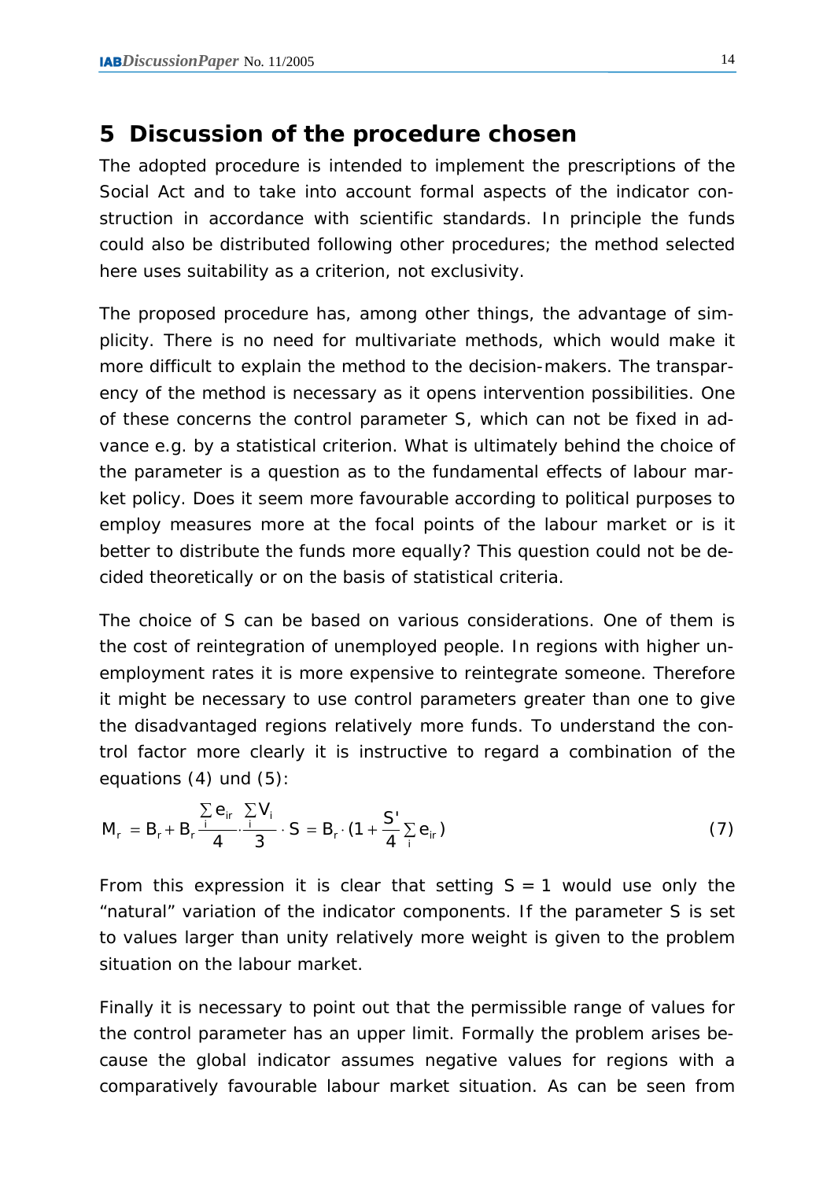## <span id="page-14-0"></span>**5 Discussion of the procedure chosen**

The adopted procedure is intended to implement the prescriptions of the Social Act and to take into account formal aspects of the indicator construction in accordance with scientific standards. In principle the funds could also be distributed following other procedures; the method selected here uses suitability as a criterion, not exclusivity.

The proposed procedure has, among other things, the advantage of simplicity. There is no need for multivariate methods, which would make it more difficult to explain the method to the decision-makers. The transparency of the method is necessary as it opens intervention possibilities. One of these concerns the control parameter S, which can not be fixed in advance e.g. by a statistical criterion. What is ultimately behind the choice of the parameter is a question as to the fundamental effects of labour market policy. Does it seem more favourable according to political purposes to employ measures more at the focal points of the labour market or is it better to distribute the funds more equally? This question could not be decided theoretically or on the basis of statistical criteria.

The choice of S can be based on various considerations. One of them is the cost of reintegration of unemployed people. In regions with higher unemployment rates it is more expensive to reintegrate someone. Therefore it might be necessary to use control parameters greater than one to give the disadvantaged regions relatively more funds. To understand the control factor more clearly it is instructive to regard a combination of the equations (4) und (5):

$$
M_r = B_r + B_r \frac{\sum_{i} e_{ir}}{4} \frac{\sum_{i} V_i}{3} \cdot S = B_r \cdot (1 + \frac{S}{4} \sum_{i} e_{ir})
$$
 (7)

From this expression it is clear that setting  $S = 1$  would use only the "natural" variation of the indicator components. If the parameter S is set to values larger than unity relatively more weight is given to the problem situation on the labour market.

Finally it is necessary to point out that the permissible range of values for the control parameter has an upper limit. Formally the problem arises because the global indicator assumes negative values for regions with a comparatively favourable labour market situation. As can be seen from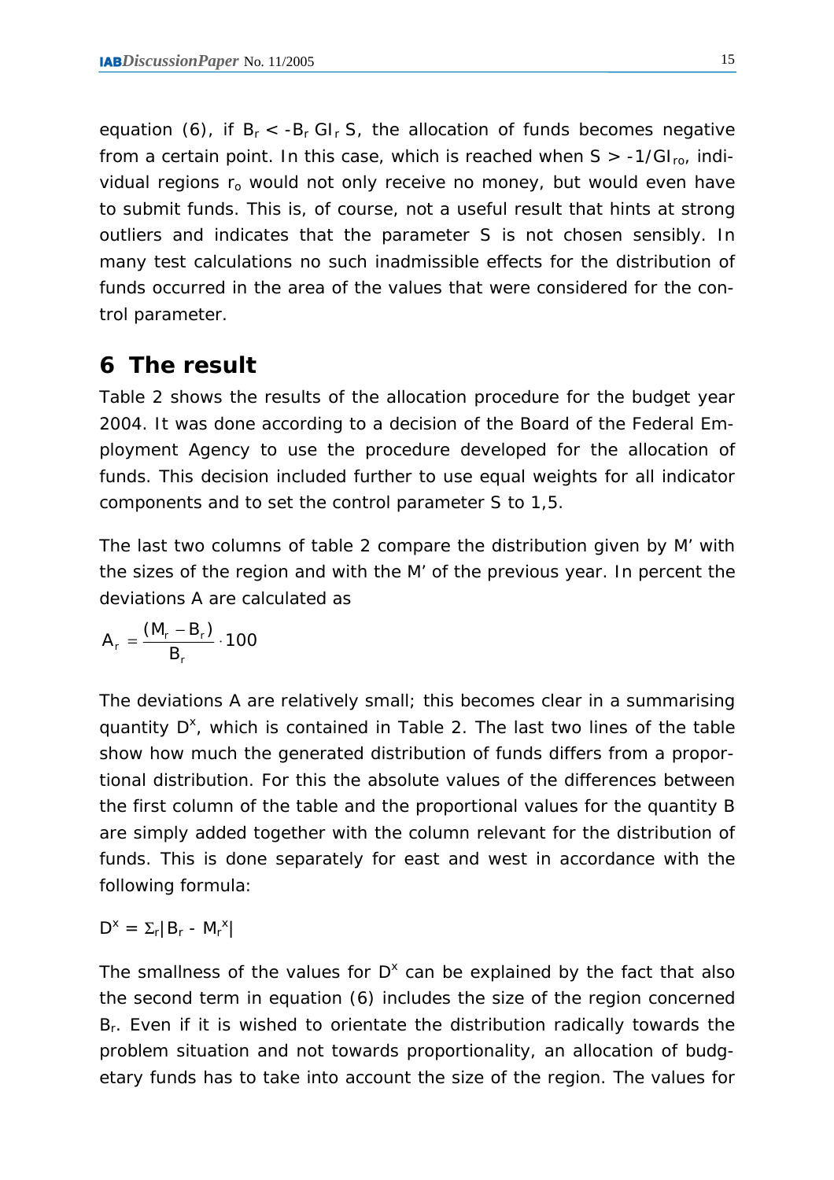<span id="page-15-0"></span>equation (6), if  $B_r < -B_r$  GI<sub>r</sub> S, the allocation of funds becomes negative from a certain point. In this case, which is reached when  $S > -1/GI_{ro}$ , individual regions  $r_0$  would not only receive no money, but would even have to submit funds. This is, of course, not a useful result that hints at strong outliers and indicates that the parameter S is not chosen sensibly. In many test calculations no such inadmissible effects for the distribution of funds occurred in the area of the values that were considered for the control parameter.

## **6 The result**

Table 2 shows the results of the allocation procedure for the budget year 2004. It was done according to a decision of the Board of the Federal Employment Agency to use the procedure developed for the allocation of funds. This decision included further to use equal weights for all indicator components and to set the control parameter S to 1,5.

The last two columns of table 2 compare the distribution given by M' with the sizes of the region and with the M' of the previous year. In percent the deviations A are calculated as

$$
A_r = \frac{(M_r - B_r)}{B_r} \cdot 100
$$

The deviations A are relatively small; this becomes clear in a summarising quantity  $D^x$ , which is contained in Table 2. The last two lines of the table show how much the generated distribution of funds differs from a proportional distribution. For this the absolute values of the differences between the first column of the table and the proportional values for the quantity B are simply added together with the column relevant for the distribution of funds. This is done separately for east and west in accordance with the following formula:

$$
D^x = \Sigma_r |B_r - M_r^x|
$$

The smallness of the values for  $D^x$  can be explained by the fact that also the second term in equation (6) includes the size of the region concerned B<sub>r</sub>. Even if it is wished to orientate the distribution radically towards the problem situation and not towards proportionality, an allocation of budgetary funds has to take into account the size of the region. The values for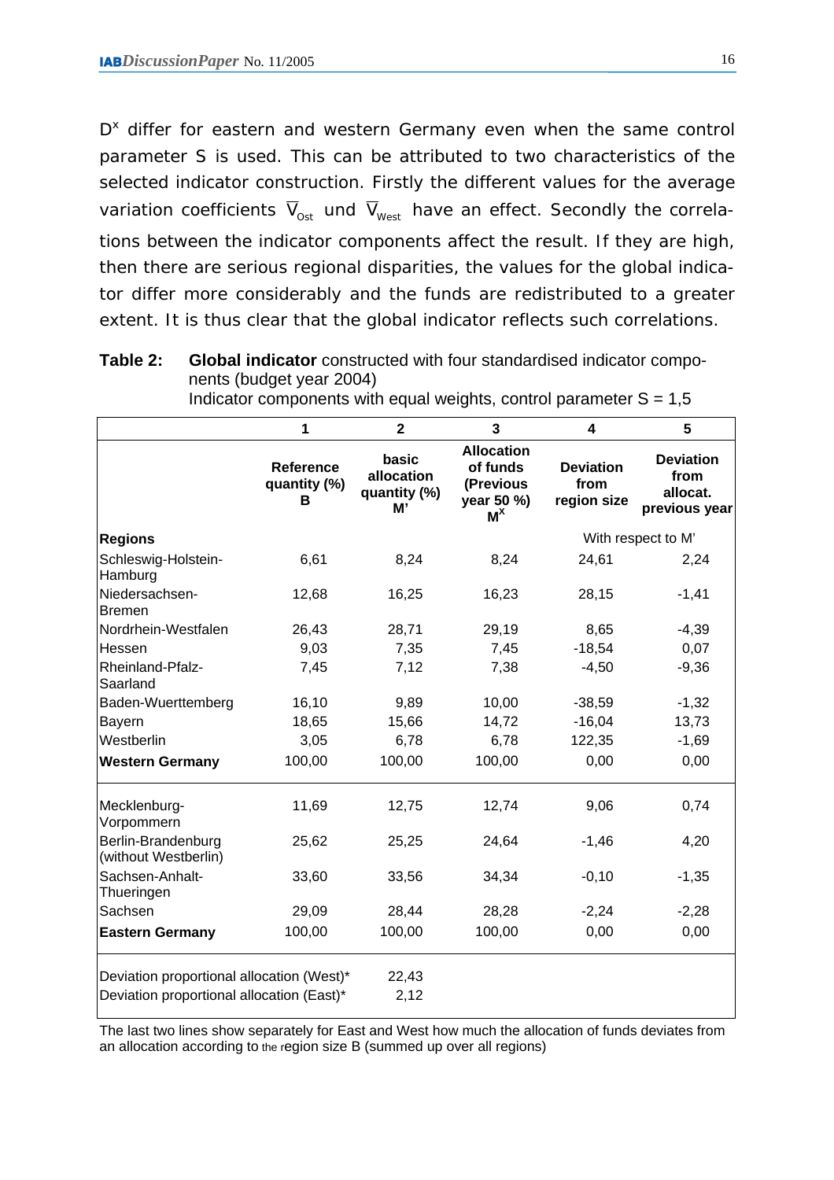D<sup>x</sup> differ for eastern and western Germany even when the same control parameter S is used. This can be attributed to two characteristics of the selected indicator construction. Firstly the different values for the average variation coefficients  $\overline{V}_{\text{Ost}}$  und  $\overline{V}_{\text{West}}$  have an effect. Secondly the correlations between the indicator components affect the result. If they are high, then there are serious regional disparities, the values for the global indicator differ more considerably and the funds are redistributed to a greater extent. It is thus clear that the global indicator reflects such correlations.

**Table 2: Global indicator** constructed with four standardised indicator components (budget year 2004)

|                                                                                        | 1                                     | $\overline{2}$                            | 3                                                                      | 4                                       | 5                                                     |  |
|----------------------------------------------------------------------------------------|---------------------------------------|-------------------------------------------|------------------------------------------------------------------------|-----------------------------------------|-------------------------------------------------------|--|
|                                                                                        | <b>Reference</b><br>quantity (%)<br>В | basic<br>allocation<br>quantity (%)<br>M' | <b>Allocation</b><br>of funds<br>(Previous<br>year 50 %)<br>$M^{\chi}$ | <b>Deviation</b><br>from<br>region size | <b>Deviation</b><br>from<br>allocat.<br>previous year |  |
| <b>Regions</b>                                                                         |                                       |                                           |                                                                        |                                         | With respect to M'                                    |  |
| Schleswig-Holstein-<br>Hamburg                                                         | 6,61                                  | 8,24                                      | 8,24                                                                   | 24,61                                   | 2,24                                                  |  |
| Niedersachsen-<br><b>Bremen</b>                                                        | 12,68                                 | 16,25                                     | 16,23                                                                  | 28,15                                   | $-1,41$                                               |  |
| Nordrhein-Westfalen                                                                    | 26,43                                 | 28,71                                     | 29,19                                                                  | 8,65                                    | $-4,39$                                               |  |
| Hessen                                                                                 | 9,03                                  | 7,35                                      | 7,45                                                                   | $-18,54$                                | 0,07                                                  |  |
| Rheinland-Pfalz-<br>Saarland                                                           | 7,45                                  | 7,12                                      | 7,38                                                                   | $-4,50$                                 | $-9,36$                                               |  |
| Baden-Wuerttemberg                                                                     | 16,10                                 | 9,89                                      | 10,00                                                                  | $-38,59$                                | $-1,32$                                               |  |
| Bayern                                                                                 | 18,65                                 | 15,66                                     | 14,72                                                                  | $-16,04$                                | 13,73                                                 |  |
| Westberlin                                                                             | 3,05                                  | 6,78                                      | 6,78                                                                   | 122,35                                  | $-1,69$                                               |  |
| <b>Western Germany</b>                                                                 | 100,00                                | 100,00                                    | 100,00                                                                 | 0,00                                    | 0,00                                                  |  |
| Mecklenburg-<br>Vorpommern                                                             | 11,69                                 | 12,75                                     | 12,74                                                                  | 9,06                                    | 0,74                                                  |  |
| Berlin-Brandenburg<br>(without Westberlin)                                             | 25,62                                 | 25,25                                     | 24,64                                                                  | $-1,46$                                 | 4,20                                                  |  |
| Sachsen-Anhalt-<br>Thueringen                                                          | 33,60                                 | 33,56                                     | 34,34                                                                  | $-0,10$                                 | $-1,35$                                               |  |
| Sachsen                                                                                | 29,09                                 | 28,44                                     | 28,28                                                                  | $-2,24$                                 | $-2,28$                                               |  |
| <b>Eastern Germany</b>                                                                 | 100,00                                | 100,00                                    | 100,00                                                                 | 0,00                                    | 0,00                                                  |  |
| Deviation proportional allocation (West)*<br>Deviation proportional allocation (East)* |                                       | 22,43<br>2,12                             |                                                                        |                                         |                                                       |  |

Indicator components with equal weights, control parameter  $S = 1.5$ 

The last two lines show separately for East and West how much the allocation of funds deviates from an allocation according to the region size B (summed up over all regions)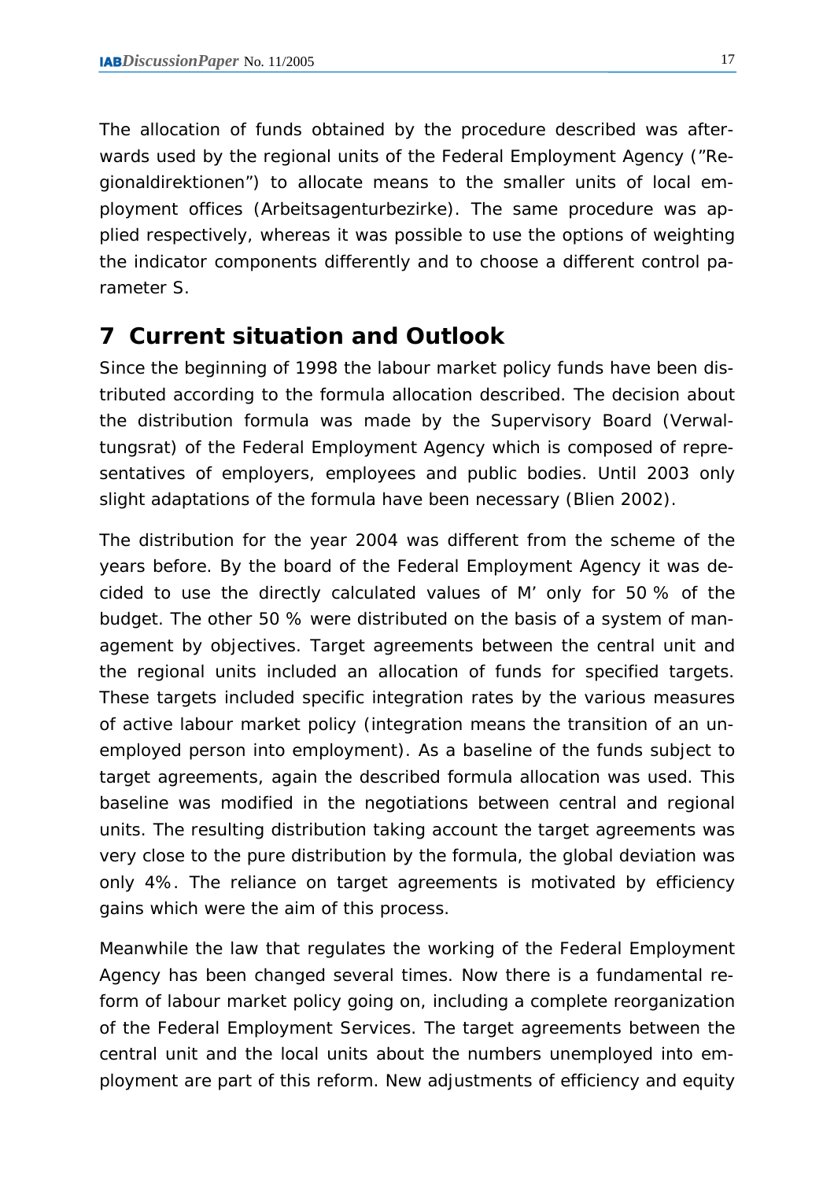<span id="page-17-0"></span>The allocation of funds obtained by the procedure described was afterwards used by the regional units of the Federal Employment Agency ("Regionaldirektionen") to allocate means to the smaller units of local employment offices (Arbeitsagenturbezirke). The same procedure was applied respectively, whereas it was possible to use the options of weighting the indicator components differently and to choose a different control parameter S.

## **7 Current situation and Outlook**

Since the beginning of 1998 the labour market policy funds have been distributed according to the formula allocation described. The decision about the distribution formula was made by the Supervisory Board (Verwaltungsrat) of the Federal Employment Agency which is composed of representatives of employers, employees and public bodies. Until 2003 only slight adaptations of the formula have been necessary (Blien 2002).

The distribution for the year 2004 was different from the scheme of the years before. By the board of the Federal Employment Agency it was decided to use the directly calculated values of M' only for 50 % of the budget. The other 50 % were distributed on the basis of a system of management by objectives. Target agreements between the central unit and the regional units included an allocation of funds for specified targets. These targets included specific integration rates by the various measures of active labour market policy (integration means the transition of an unemployed person into employment). As a baseline of the funds subject to target agreements, again the described formula allocation was used. This baseline was modified in the negotiations between central and regional units. The resulting distribution taking account the target agreements was very close to the pure distribution by the formula, the global deviation was only 4%. The reliance on target agreements is motivated by efficiency gains which were the aim of this process.

Meanwhile the law that regulates the working of the Federal Employment Agency has been changed several times. Now there is a fundamental reform of labour market policy going on, including a complete reorganization of the Federal Employment Services. The target agreements between the central unit and the local units about the numbers unemployed into employment are part of this reform. New adjustments of efficiency and equity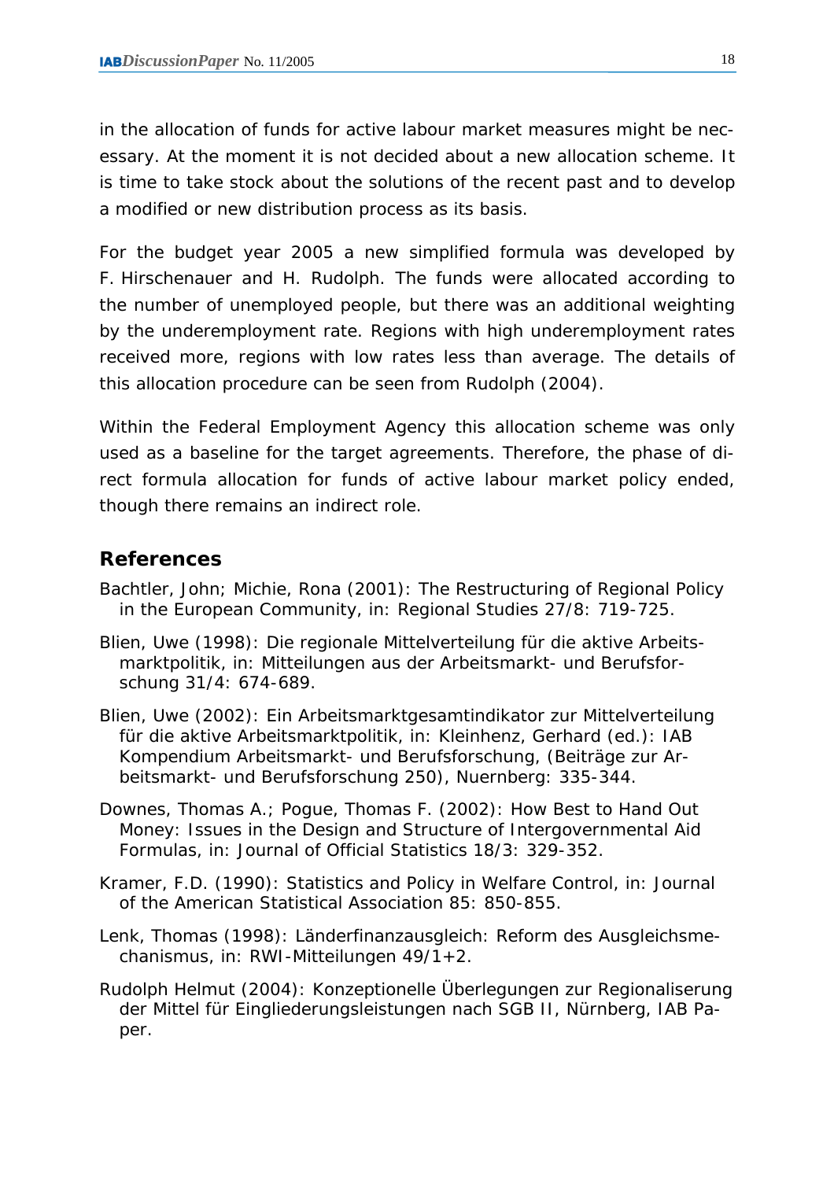in the allocation of funds for active labour market measures might be necessary. At the moment it is not decided about a new allocation scheme. It is time to take stock about the solutions of the recent past and to develop a modified or new distribution process as its basis.

For the budget year 2005 a new simplified formula was developed by F. Hirschenauer and H. Rudolph. The funds were allocated according to the number of unemployed people, but there was an additional weighting by the underemployment rate. Regions with high underemployment rates received more, regions with low rates less than average. The details of this allocation procedure can be seen from Rudolph (2004).

Within the Federal Employment Agency this allocation scheme was only used as a baseline for the target agreements. Therefore, the phase of direct formula allocation for funds of active labour market policy ended, though there remains an indirect role.

## **References**

- Bachtler, John; Michie, Rona (2001): The Restructuring of Regional Policy in the European Community, in: Regional Studies 27/8: 719-725.
- Blien, Uwe (1998): Die regionale Mittelverteilung für die aktive Arbeitsmarktpolitik, in: Mitteilungen aus der Arbeitsmarkt- und Berufsforschung 31/4: 674-689.
- Blien, Uwe (2002): Ein Arbeitsmarktgesamtindikator zur Mittelverteilung für die aktive Arbeitsmarktpolitik, in: Kleinhenz, Gerhard (ed.): IAB Kompendium Arbeitsmarkt- und Berufsforschung, (Beiträge zur Arbeitsmarkt- und Berufsforschung 250), Nuernberg: 335-344.
- Downes, Thomas A.; Pogue, Thomas F. (2002): How Best to Hand Out Money: Issues in the Design and Structure of Intergovernmental Aid Formulas, in: Journal of Official Statistics 18/3: 329-352.
- Kramer, F.D. (1990): Statistics and Policy in Welfare Control, in: Journal of the American Statistical Association 85: 850-855.
- Lenk, Thomas (1998): Länderfinanzausgleich: Reform des Ausgleichsmechanismus, in: RWI-Mitteilungen 49/1+2.
- Rudolph Helmut (2004): Konzeptionelle Überlegungen zur Regionaliserung der Mittel für Eingliederungsleistungen nach SGB II, Nürnberg, IAB Paper.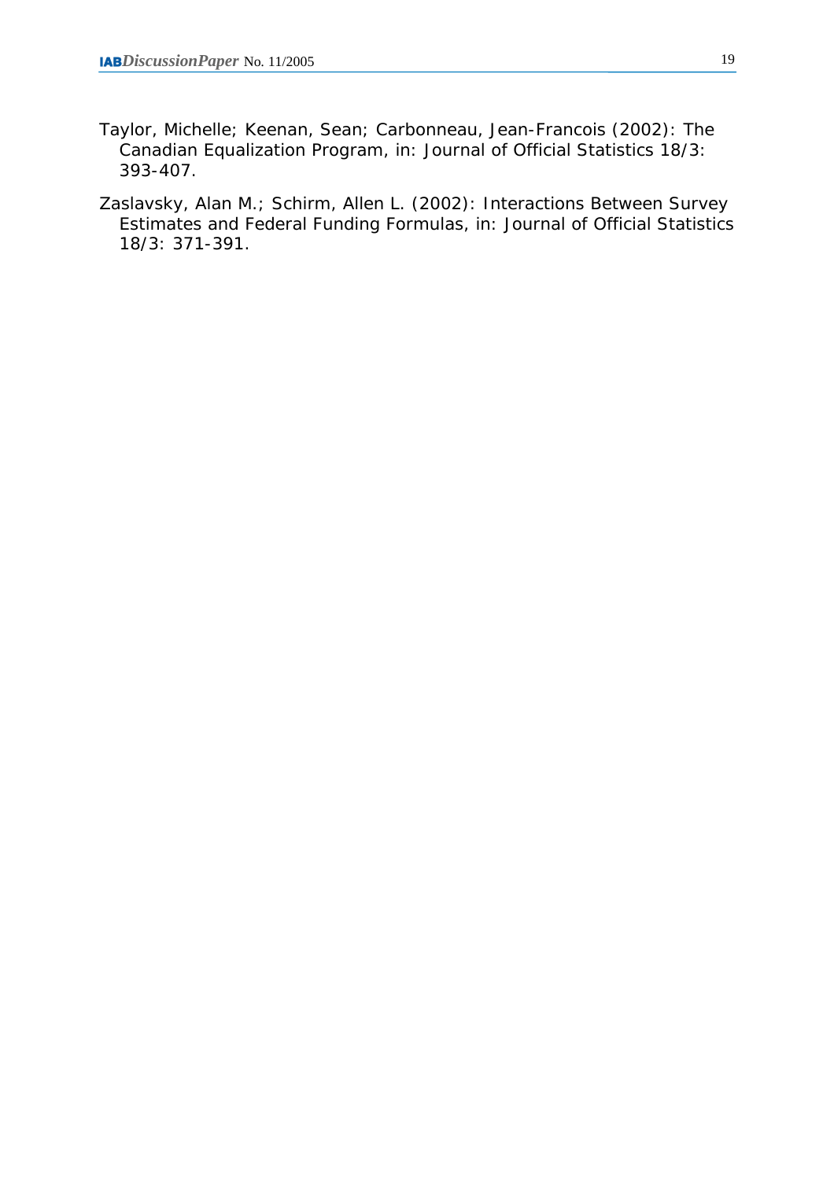- Taylor, Michelle; Keenan, Sean; Carbonneau, Jean-Francois (2002): The Canadian Equalization Program, in: Journal of Official Statistics 18/3: 393-407.
- Zaslavsky, Alan M.; Schirm, Allen L. (2002): Interactions Between Survey Estimates and Federal Funding Formulas, in: Journal of Official Statistics 18/3: 371-391.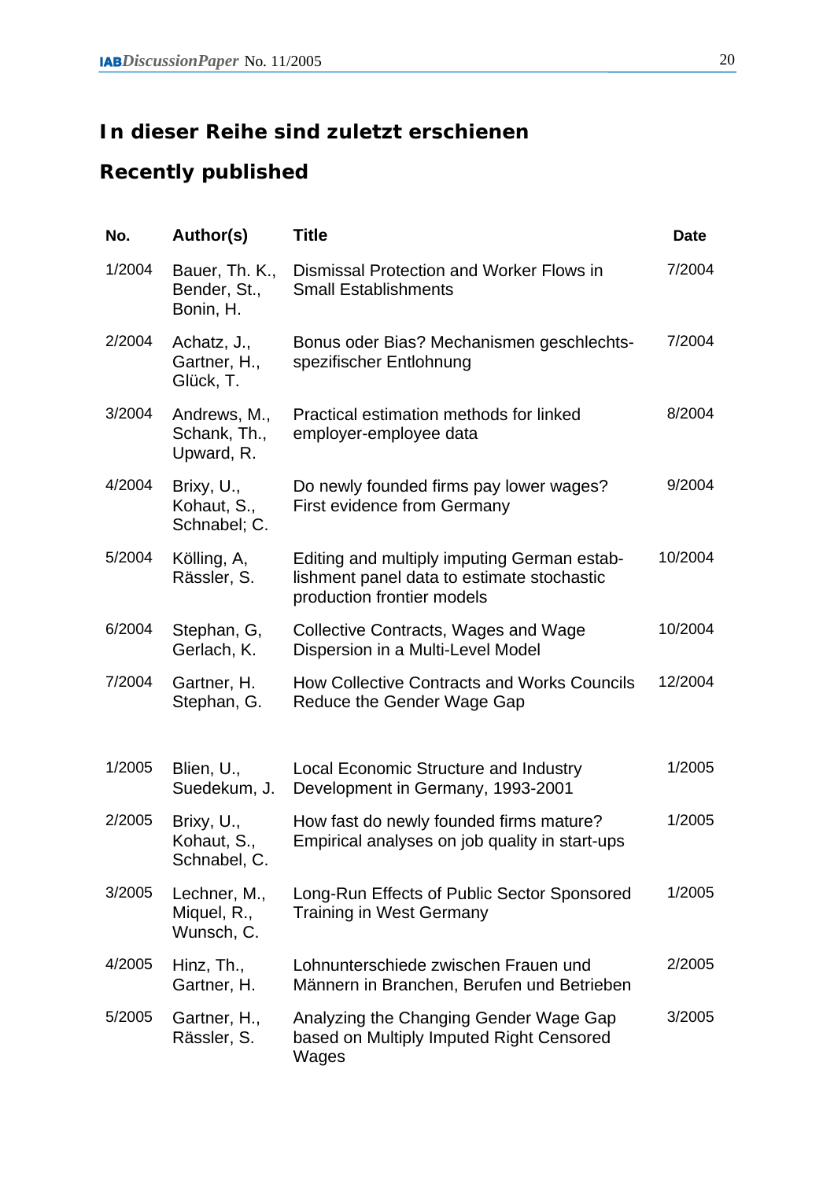## **In dieser Reihe sind zuletzt erschienen**

## **Recently published**

| No.    | Author(s)                                   | <b>Title</b>                                                                                                            | <b>Date</b> |
|--------|---------------------------------------------|-------------------------------------------------------------------------------------------------------------------------|-------------|
| 1/2004 | Bauer, Th. K.,<br>Bender, St.,<br>Bonin, H. | Dismissal Protection and Worker Flows in<br><b>Small Establishments</b>                                                 | 7/2004      |
| 2/2004 | Achatz, J.,<br>Gartner, H.,<br>Glück, T.    | Bonus oder Bias? Mechanismen geschlechts-<br>spezifischer Entlohnung                                                    | 7/2004      |
| 3/2004 | Andrews, M.,<br>Schank, Th.,<br>Upward, R.  | Practical estimation methods for linked<br>employer-employee data                                                       | 8/2004      |
| 4/2004 | Brixy, U.,<br>Kohaut, S.,<br>Schnabel; C.   | Do newly founded firms pay lower wages?<br>First evidence from Germany                                                  | 9/2004      |
| 5/2004 | Kölling, A,<br>Rässler, S.                  | Editing and multiply imputing German estab-<br>lishment panel data to estimate stochastic<br>production frontier models | 10/2004     |
| 6/2004 | Stephan, G,<br>Gerlach, K.                  | Collective Contracts, Wages and Wage<br>Dispersion in a Multi-Level Model                                               | 10/2004     |
| 7/2004 | Gartner, H.<br>Stephan, G.                  | <b>How Collective Contracts and Works Councils</b><br>Reduce the Gender Wage Gap                                        | 12/2004     |
| 1/2005 | Blien, U.,<br>Suedekum, J.                  | Local Economic Structure and Industry<br>Development in Germany, 1993-2001                                              | 1/2005      |
| 2/2005 | Brixy, U.,<br>Kohaut, S.,<br>Schnabel, C.   | How fast do newly founded firms mature?<br>Empirical analyses on job quality in start-ups                               | 1/2005      |
| 3/2005 | Lechner, M.,<br>Miquel, R.,<br>Wunsch, C.   | Long-Run Effects of Public Sector Sponsored<br><b>Training in West Germany</b>                                          | 1/2005      |
| 4/2005 | Hinz, Th.,<br>Gartner, H.                   | Lohnunterschiede zwischen Frauen und<br>Männern in Branchen, Berufen und Betrieben                                      | 2/2005      |
| 5/2005 | Gartner, H.,<br>Rässler, S.                 | Analyzing the Changing Gender Wage Gap<br>based on Multiply Imputed Right Censored<br>Wages                             | 3/2005      |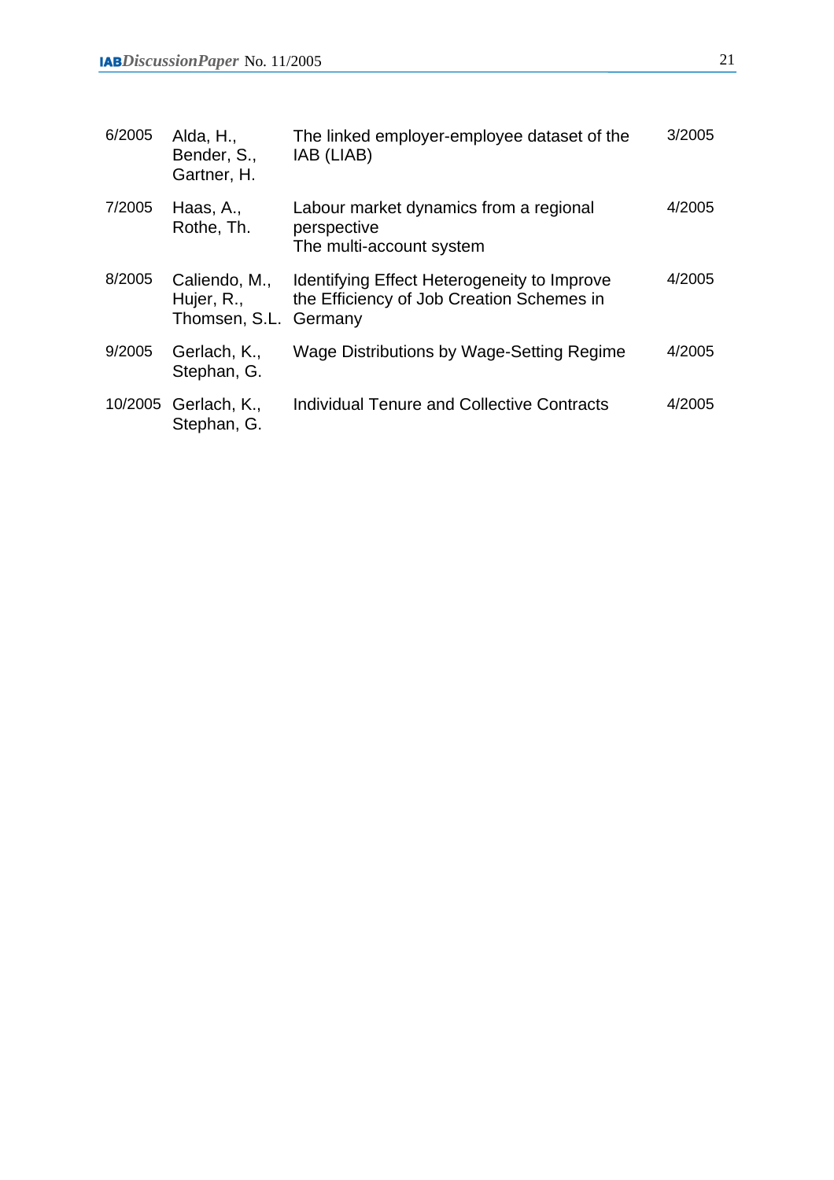| 6/2005  | Alda, H.,<br>Bender, S.,<br>Gartner, H.      | The linked employer-employee dataset of the<br>IAB (LIAB)                                           | 3/2005 |
|---------|----------------------------------------------|-----------------------------------------------------------------------------------------------------|--------|
| 7/2005  | Haas, A.,<br>Rothe, Th.                      | Labour market dynamics from a regional<br>perspective<br>The multi-account system                   | 4/2005 |
| 8/2005  | Caliendo, M.,<br>Hujer, R.,<br>Thomsen, S.L. | Identifying Effect Heterogeneity to Improve<br>the Efficiency of Job Creation Schemes in<br>Germany | 4/2005 |
| 9/2005  | Gerlach, K.,<br>Stephan, G.                  | Wage Distributions by Wage-Setting Regime                                                           | 4/2005 |
| 10/2005 | Gerlach, K.,<br>Stephan, G.                  | <b>Individual Tenure and Collective Contracts</b>                                                   | 4/2005 |